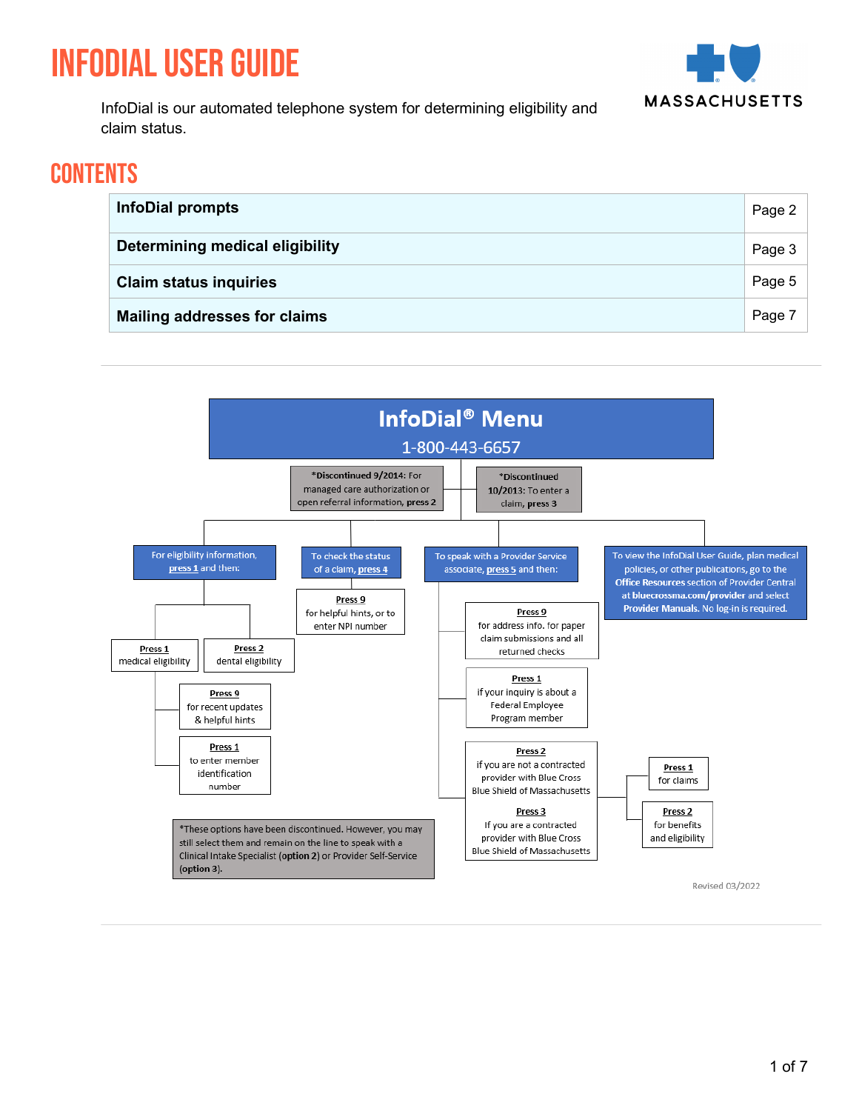# InfoDial User Guide



InfoDial is our automated telephone system for determining eligibility and claim status.

### **CONTENTS**

| <b>InfoDial prompts</b>                | Page 2 |
|----------------------------------------|--------|
| <b>Determining medical eligibility</b> | Page 3 |
| <b>Claim status inquiries</b>          | Page 5 |
| <b>Mailing addresses for claims</b>    | Page 7 |

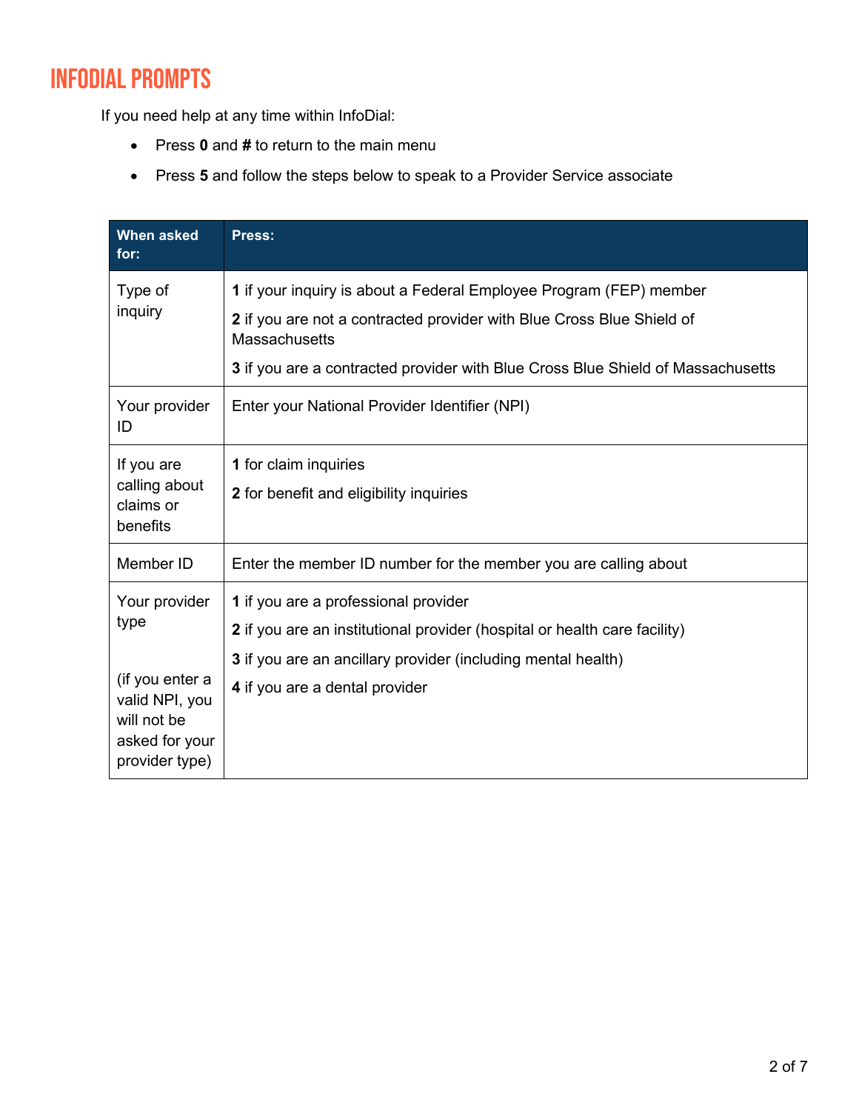## InfoDial Prompts

If you need help at any time within InfoDial:

- Press **0** and **#** to return to the main menu
- Press **5** and follow the steps below to speak to a Provider Service associate

| <b>When asked</b><br>for:                                                            | Press:                                                                                        |
|--------------------------------------------------------------------------------------|-----------------------------------------------------------------------------------------------|
| Type of<br>inquiry                                                                   | 1 if your inquiry is about a Federal Employee Program (FEP) member                            |
|                                                                                      | 2 if you are not a contracted provider with Blue Cross Blue Shield of<br><b>Massachusetts</b> |
|                                                                                      | 3 if you are a contracted provider with Blue Cross Blue Shield of Massachusetts               |
| Your provider<br>ID                                                                  | Enter your National Provider Identifier (NPI)                                                 |
| If you are<br>calling about<br>claims or<br>benefits                                 | 1 for claim inquiries                                                                         |
|                                                                                      | 2 for benefit and eligibility inquiries                                                       |
| Member ID                                                                            | Enter the member ID number for the member you are calling about                               |
| Your provider<br>type                                                                | 1 if you are a professional provider                                                          |
|                                                                                      | 2 if you are an institutional provider (hospital or health care facility)                     |
|                                                                                      | 3 if you are an ancillary provider (including mental health)                                  |
| (if you enter a<br>valid NPI, you<br>will not be<br>asked for your<br>provider type) | 4 if you are a dental provider                                                                |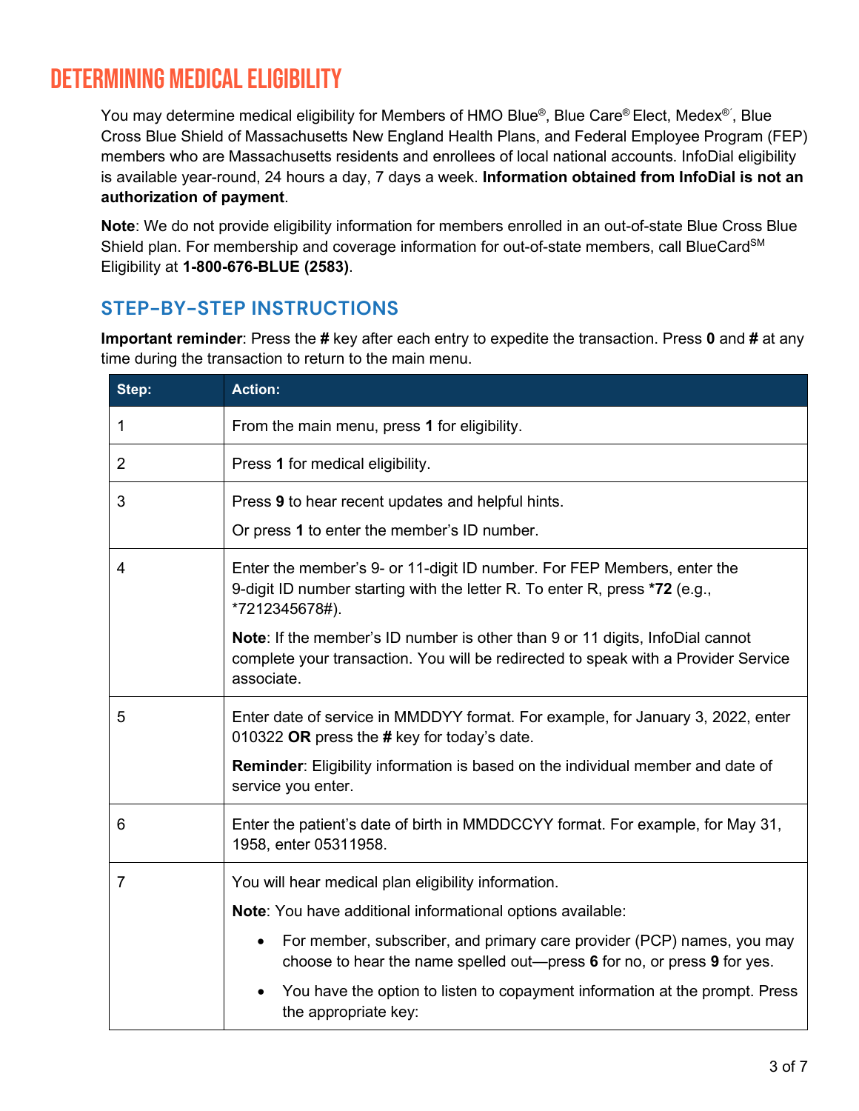### Determining Medical Eligibility

You may determine medical eligibility for Members of HMO Blue®, Blue Care® Elect, Medex®´, Blue Cross Blue Shield of Massachusetts New England Health Plans, and Federal Employee Program (FEP) members who are Massachusetts residents and enrollees of local national accounts. InfoDial eligibility is available year-round, 24 hours a day, 7 days a week. **Information obtained from InfoDial is not an authorization of payment**.

**Note**: We do not provide eligibility information for members enrolled in an out-of-state Blue Cross Blue Shield plan. For membership and coverage information for out-of-state members, call BlueCard<sup>SM</sup> Eligibility at **1-800-676-BLUE (2583)**.

#### **STEP-BY-STEP INSTRUCTIONS**

**Important reminder**: Press the **#** key after each entry to expedite the transaction. Press **0** and **#** at any time during the transaction to return to the main menu.

| Step:          | <b>Action:</b>                                                                                                                                                                           |
|----------------|------------------------------------------------------------------------------------------------------------------------------------------------------------------------------------------|
| 1              | From the main menu, press 1 for eligibility.                                                                                                                                             |
| $\overline{2}$ | Press 1 for medical eligibility.                                                                                                                                                         |
| 3              | Press 9 to hear recent updates and helpful hints.<br>Or press 1 to enter the member's ID number.                                                                                         |
| $\overline{4}$ | Enter the member's 9- or 11-digit ID number. For FEP Members, enter the<br>9-digit ID number starting with the letter R. To enter R, press *72 (e.g.,<br>*7212345678#).                  |
|                | <b>Note:</b> If the member's ID number is other than 9 or 11 digits, InfoDial cannot<br>complete your transaction. You will be redirected to speak with a Provider Service<br>associate. |
| 5              | Enter date of service in MMDDYY format. For example, for January 3, 2022, enter<br>010322 OR press the # key for today's date.                                                           |
|                | Reminder: Eligibility information is based on the individual member and date of<br>service you enter.                                                                                    |
| 6              | Enter the patient's date of birth in MMDDCCYY format. For example, for May 31,<br>1958, enter 05311958.                                                                                  |
| $\overline{7}$ | You will hear medical plan eligibility information.<br>Note: You have additional informational options available:                                                                        |
|                | For member, subscriber, and primary care provider (PCP) names, you may<br>$\bullet$<br>choose to hear the name spelled out—press 6 for no, or press 9 for yes.                           |
|                | You have the option to listen to copayment information at the prompt. Press<br>the appropriate key:                                                                                      |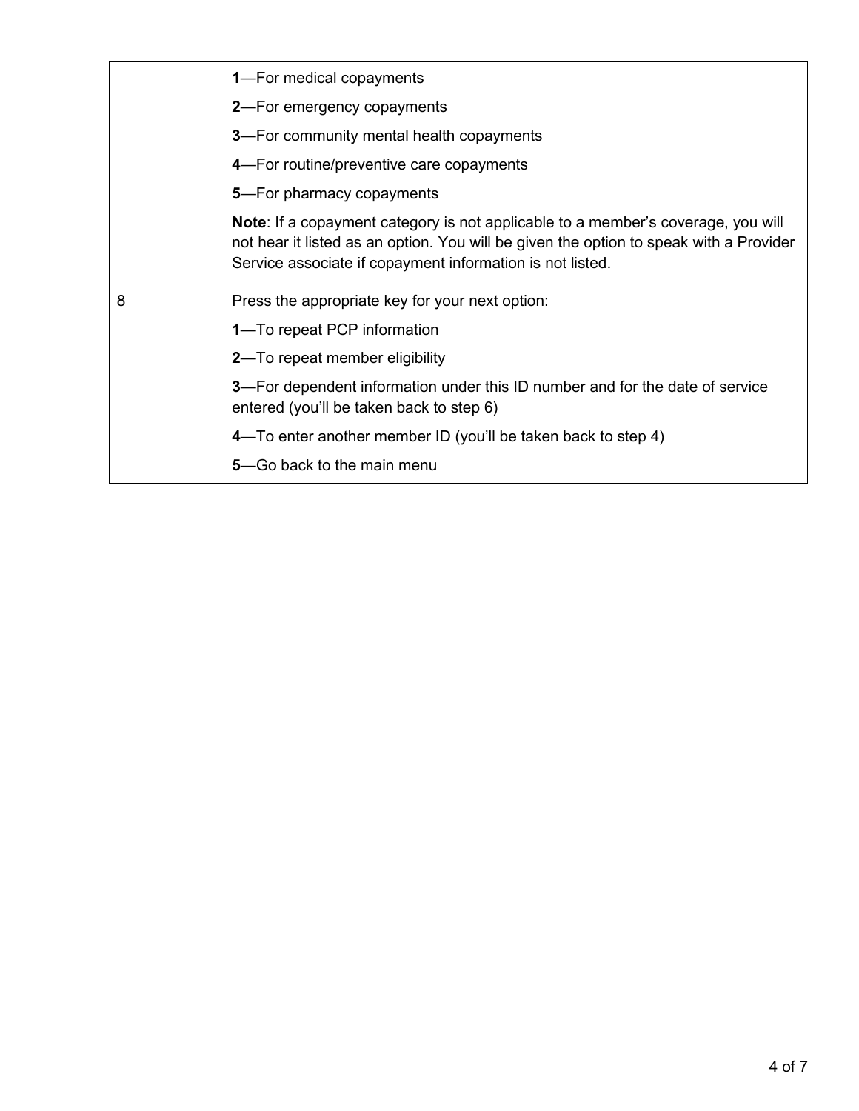|   | <b>1</b> —For medical copayments                                                                                                                                                                                                               |
|---|------------------------------------------------------------------------------------------------------------------------------------------------------------------------------------------------------------------------------------------------|
|   | <b>2</b> —For emergency copayments                                                                                                                                                                                                             |
|   | <b>3</b> —For community mental health copayments                                                                                                                                                                                               |
|   | 4-For routine/preventive care copayments                                                                                                                                                                                                       |
|   | 5-For pharmacy copayments                                                                                                                                                                                                                      |
|   | <b>Note:</b> If a copayment category is not applicable to a member's coverage, you will<br>not hear it listed as an option. You will be given the option to speak with a Provider<br>Service associate if copayment information is not listed. |
| 8 | Press the appropriate key for your next option:                                                                                                                                                                                                |
|   | 1-To repeat PCP information                                                                                                                                                                                                                    |
|   | 2-To repeat member eligibility                                                                                                                                                                                                                 |
|   | <b>3</b> —For dependent information under this ID number and for the date of service<br>entered (you'll be taken back to step 6)                                                                                                               |
|   | 4—To enter another member ID (you'll be taken back to step 4)                                                                                                                                                                                  |
|   | 5–Go back to the main menu                                                                                                                                                                                                                     |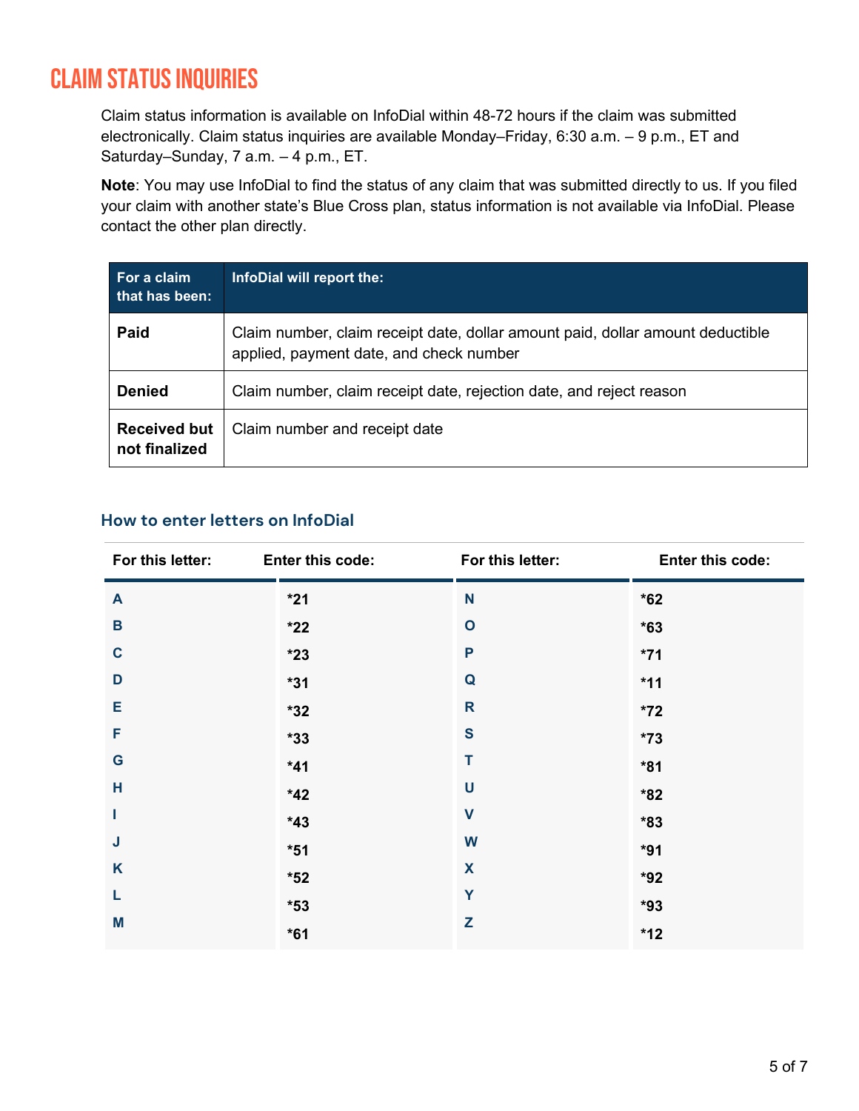### Claim status inquiries

Claim status information is available on InfoDial within 48-72 hours if the claim was submitted electronically. Claim status inquiries are available Monday–Friday, 6:30 a.m. – 9 p.m., ET and Saturday–Sunday, 7 a.m. – 4 p.m., ET.

**Note**: You may use InfoDial to find the status of any claim that was submitted directly to us. If you filed your claim with another state's Blue Cross plan, status information is not available via InfoDial. Please contact the other plan directly.

| For a claim<br>that has been:        | InfoDial will report the:                                                                                                 |
|--------------------------------------|---------------------------------------------------------------------------------------------------------------------------|
| Paid                                 | Claim number, claim receipt date, dollar amount paid, dollar amount deductible<br>applied, payment date, and check number |
| <b>Denied</b>                        | Claim number, claim receipt date, rejection date, and reject reason                                                       |
| <b>Received but</b><br>not finalized | Claim number and receipt date                                                                                             |

#### **How to enter letters on InfoDial**

| For this letter: | Enter this code: | For this letter: | Enter this code: |
|------------------|------------------|------------------|------------------|
| $\mathbf{A}$     | $*21$            | N                | $*62$            |
| B                | $*22$            | $\mathbf{o}$     | $*63$            |
| $\mathbf c$      | $*23$            | P                | $*71$            |
| D                | $*31$            | Q                | $*11$            |
| Е                | $*32$            | R                | $*72$            |
| F                | $*33$            | $\mathbf{s}$     | $*73$            |
| G                | $*41$            | T                | $*81$            |
| H                | $*42$            | U                | $*82$            |
| I                | $*43$            | $\mathbf V$      | $*83$            |
| J                | $*51$            | W                | $*91$            |
| K                | $*52$            | X                | $*92$            |
| L                | $*53$            | Y                | $*93$            |
| M                | $*61$            | Z                | $*12$            |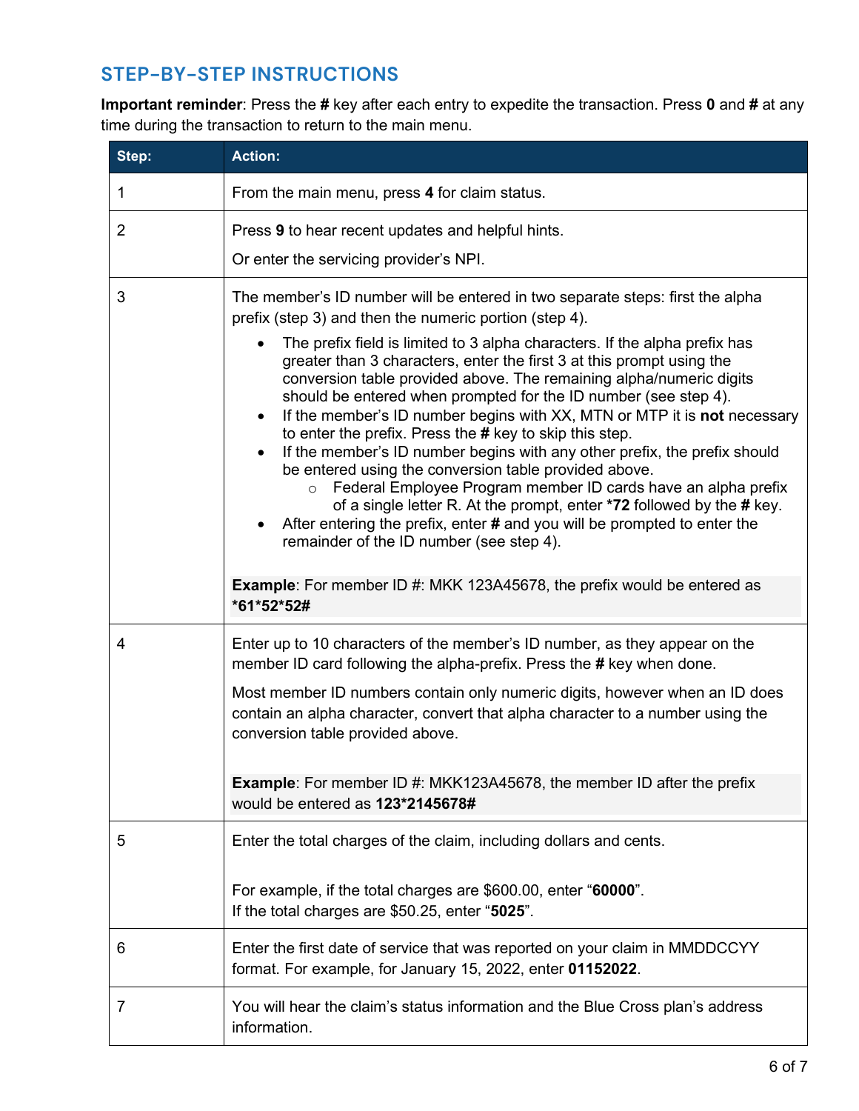#### **STEP-BY-STEP INSTRUCTIONS**

**Important reminder**: Press the **#** key after each entry to expedite the transaction. Press **0** and **#** at any time during the transaction to return to the main menu.

| Step:        | <b>Action:</b>                                                                                                                                                                                                                                                                                                                                                                                                                                                                                                                                                                                                                                                                                                                                                                                                                                                                                                                                                                                                                                                |
|--------------|---------------------------------------------------------------------------------------------------------------------------------------------------------------------------------------------------------------------------------------------------------------------------------------------------------------------------------------------------------------------------------------------------------------------------------------------------------------------------------------------------------------------------------------------------------------------------------------------------------------------------------------------------------------------------------------------------------------------------------------------------------------------------------------------------------------------------------------------------------------------------------------------------------------------------------------------------------------------------------------------------------------------------------------------------------------|
| $\mathbf{1}$ | From the main menu, press 4 for claim status.                                                                                                                                                                                                                                                                                                                                                                                                                                                                                                                                                                                                                                                                                                                                                                                                                                                                                                                                                                                                                 |
| 2            | Press 9 to hear recent updates and helpful hints.                                                                                                                                                                                                                                                                                                                                                                                                                                                                                                                                                                                                                                                                                                                                                                                                                                                                                                                                                                                                             |
|              | Or enter the servicing provider's NPI.                                                                                                                                                                                                                                                                                                                                                                                                                                                                                                                                                                                                                                                                                                                                                                                                                                                                                                                                                                                                                        |
| 3            | The member's ID number will be entered in two separate steps: first the alpha<br>prefix (step 3) and then the numeric portion (step 4).<br>The prefix field is limited to 3 alpha characters. If the alpha prefix has<br>$\bullet$<br>greater than 3 characters, enter the first 3 at this prompt using the<br>conversion table provided above. The remaining alpha/numeric digits<br>should be entered when prompted for the ID number (see step 4).<br>If the member's ID number begins with XX, MTN or MTP it is <b>not</b> necessary<br>$\bullet$<br>to enter the prefix. Press the # key to skip this step.<br>If the member's ID number begins with any other prefix, the prefix should<br>$\bullet$<br>be entered using the conversion table provided above.<br>Federal Employee Program member ID cards have an alpha prefix<br>$\circ$<br>of a single letter R. At the prompt, enter *72 followed by the # key.<br>After entering the prefix, enter # and you will be prompted to enter the<br>$\bullet$<br>remainder of the ID number (see step 4). |
|              | <b>Example:</b> For member ID #: MKK 123A45678, the prefix would be entered as<br>*61*52*52#                                                                                                                                                                                                                                                                                                                                                                                                                                                                                                                                                                                                                                                                                                                                                                                                                                                                                                                                                                  |
| 4            | Enter up to 10 characters of the member's ID number, as they appear on the<br>member ID card following the alpha-prefix. Press the # key when done.                                                                                                                                                                                                                                                                                                                                                                                                                                                                                                                                                                                                                                                                                                                                                                                                                                                                                                           |
|              | Most member ID numbers contain only numeric digits, however when an ID does<br>contain an alpha character, convert that alpha character to a number using the<br>conversion table provided above.                                                                                                                                                                                                                                                                                                                                                                                                                                                                                                                                                                                                                                                                                                                                                                                                                                                             |
|              | <b>Example:</b> For member ID #: MKK123A45678, the member ID after the prefix<br>would be entered as 123*2145678#                                                                                                                                                                                                                                                                                                                                                                                                                                                                                                                                                                                                                                                                                                                                                                                                                                                                                                                                             |
| 5            | Enter the total charges of the claim, including dollars and cents.                                                                                                                                                                                                                                                                                                                                                                                                                                                                                                                                                                                                                                                                                                                                                                                                                                                                                                                                                                                            |
|              | For example, if the total charges are \$600.00, enter "60000".<br>If the total charges are \$50.25, enter "5025".                                                                                                                                                                                                                                                                                                                                                                                                                                                                                                                                                                                                                                                                                                                                                                                                                                                                                                                                             |
| 6            | Enter the first date of service that was reported on your claim in MMDDCCYY<br>format. For example, for January 15, 2022, enter 01152022.                                                                                                                                                                                                                                                                                                                                                                                                                                                                                                                                                                                                                                                                                                                                                                                                                                                                                                                     |
| 7            | You will hear the claim's status information and the Blue Cross plan's address<br>information.                                                                                                                                                                                                                                                                                                                                                                                                                                                                                                                                                                                                                                                                                                                                                                                                                                                                                                                                                                |